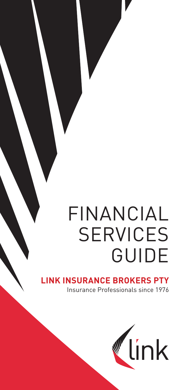# FINANCIAL **SERVICES** GUIDE

## **LINGURANCE BROKERS PTY**

Insurance Professionals since 1976

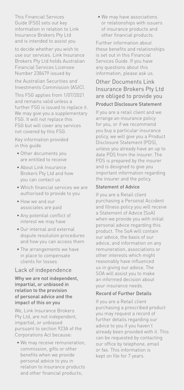This Financial Services Guide (FSG) sets out key information in relation to Link Insurance Brokers Pty Ltd and is intended to assist you

to decide whether you wish to use our services. Link Insurance Brokers Pty Ltd holds Australian Financial Services Licensee Number 238479 issued by

the Australian Securities and Investments Commission (ASIC).

This FSG applies from 1/07/2021 and remains valid unless a further FSG is issued to replace it. We may give you a supplementary FSG. It will not replace this FSG but will cover any services not covered by this FSG.

Key information provided in this guide

- Other documents you are entitled to receive
- About Link Insurance Brokers Pty Ltd and how you can contact us
- Which financial services we are authorised to provide to you
- How we and our associates are paid
- Any potential conflict of interest we may have
- Our internal and external dispute resolution procedures and how you can access them
- The arrangements we have in place to compensate clients for losses

#### Lack of independence

Why we are not independent, impartial, or unbiased in relation to the provision of personal advice and the impact of this on you

We, Link Insurance Brokers Pty Ltd, are not independent, impartial, or unbiased pursuant to section 923A of the Corporations Act because:

• We may receive remuneration, commission, gifts or other benefits when we provide personal advice to you in relation to insurance products and other financial products;

• We may have associations or relationships with issuers of insurance products and other financial products.

Further information about these benefits and relationships is set out in this Financial Services Guide. If you have any questions about this information, please ask us.

#### Other Documents Link Insurance Brokers Pty Ltd are obliged to provide you Product Disclosure Statement

If you are a retail client and we arrange an insurance policy for you, or if we recommend you buy a particular insurance policy, we will give you a Product Disclosure Statement (PDS), unless you already have an up to date PDS from the insurer. The PDS is prepared by the insurer and is designed to give you important information regarding the insurer and the policy.

#### Statement of Advice

If you are a Retail client purchasing a Personal Accident and Illness policy you will receive a Statement of Advice (SoA) when we provide you with initial personal advice regarding this product. The SoA will contain our advice, the basis of our advice, and information on any remuneration, associations or other interests which might reasonably have influenced us in giving our advice. The SOA will assist you to make an informed decision about your insurance needs.

#### Record of Further Details

If you are a Retail client purchasing a prescribed product you may request a record of further details regarding our advice to you if you haven't already been provided with it. This can be requested by contacting our office by telephone, email or fax. This information is kept on file for 7 years.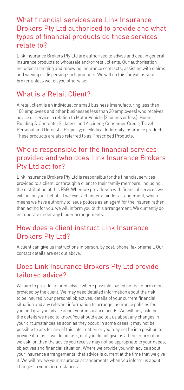## What financial services are Link Insurance Brokers Pty Ltd authorised to provide and what types of financial products do those services relate to?

Link Insurance Brokers Pty Ltd are authorised to advise and deal in general insurance products to wholesale and/or retail clients. Our authorisation includes arranging and renewing insurance contracts; assisting with claims; and varying or dispersing such products. We will do this for you as your broker unless we tell you otherwise.

## What is a Retail Client?

A retail client is an individual or small business (manufacturing less than 100 employees and other businesses less than 20 employees) who receives advice or service in relation to Motor Vehicle (2 tonnes or less); Home Building & Contents; Sickness and Accident; Consumer Credit; Travel; Personal and Domestic Property; or Medical Indemnity Insurance products. These products are also referred to as Prescribed Products.

## Who is responsible for the financial services provided and who does Link Insurance Brokers Pty Ltd act for?

Link Insurance Brokers Pty Ltd is responsible for the financial services provided to a client, or through a client to their family members, including the distribution of this FSG. When we provide you with financial services we will act on your behalf. If we ever act under a binder arrangement, which means we have authority to issue polices as an agent for the insurer, rather than acting for you, we will inform you of this arrangement. We currently do not operate under any binder arrangements.

## How does a client instruct Link Insurance Brokers Pty Ltd?

A client can give us instructions in person, by post, phone, fax or email. Our contact details are set out above.

## Does Link Insurance Brokers Pty Ltd provide tailored advice?

We aim to provide tailored advice where possible, based on the information provided by the client. We may need detailed information about the risk to be insured, your personal objectives, details of your current financial situation and any relevant information to arrange insurance policies for you and give you advice about your insurance needs. We will only ask for the details we need to know. You should also tell us about any changes in your circumstances as soon as they occur. In some cases it may not be possible to ask for any of this information or you may not be in a position to provide it to us. If we do not ask, or if you do not give us all the information we ask for, then the advice you receive may not be appropriate to your needs, objectives and financial situation. Where we provide you with advice about your insurance arrangements, that advice is current at the time that we give it. We will review your insurance arrangements when you inform us about changes in your circumstances.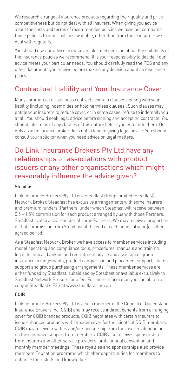We research a range of insurance products regarding their quality and price competitiveness but do not deal with all insurers. When giving you advice about the costs and terms of recommended policies we have not compared those policies to other policies available, other than from those insurers we deal with regularly.

You should use our advice to make an informed decision about the suitability of the insurance policies we recommend. It is your responsibility to decide if our advice meets your particular needs. You should carefully read the PDS and any other documents you receive before making any decision about an insurance policy.

## Contractual Liability and Your Insurance Cover

Many commercial or business contracts contain clauses dealing with your liability (including indemnities or hold harmless clauses). Such clauses may entitle your insurers to reduce cover, or in some cases, refuse to indemnify you at all. You should seek legal advice before signing and accepting contracts. You should inform us of any clauses of this nature before you enter into them. Our duty as an insurance broker does not extend to giving legal advice. You should consult your solicitor when you need advice on legal matters.

## Do Link Insurance Brokers Pty Ltd have any relationships or associations with product issuers or any other organisations which might reasonably influence the advice given?

#### Steadfast

Link Insurance Brokers Pty Ltd is a Steadfast Group Limited (Steadfast) Network Broker. Steadfast has exclusive arrangements with some insurers and premium funders (Partners) under which Steadfast will receive between 0.5 – 1.5% commission for each product arranged by us with those Partners. Steadfast is also a shareholder of some Partners. We may receive a proportion of that commission from Steadfast at the end of each financial year (or other agreed period).

As a Steadfast Network Broker we have access to member services including model operating and compliance tools, procedures, manuals and training, legal, technical, banking and recruitment advice and assistance, group insurance arrangements, product comparison and placement support, claims support and group purchasing arrangements. These member services are either funded by Steadfast, subsidised by Steadfast or available exclusively to Steadfast Network Brokers for a fee. For more information you can obtain a copy of Steadfast's FSG at www.steadfast.com.au

#### CQIB

Link Insurance Brokers Pty Ltd is also a member of the Council of Queensland Insurance Brokers Inc (CQIB) and may receive indirect benefits from arranging cover for CQIB branded products. CQIB negotiates with certain insurers to issue enhanced products with broader cover for the clients of CQIB members. CQIB may receive royalties and/or sponsorship from the insurers depending on the continued support from members. CQIB also receives sponsorship from Insurers and other service providers for its annual convention and monthly member meetings. These royalties and sponsorships also provide members Education programs which offer opportunities for members to enhance their skills and knowledge.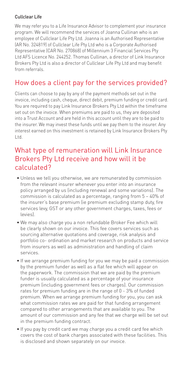#### Cullclear Life

We may refer you to a Life Insurance Advisor to complement your insurance program. We will recommend the services of Joanna Cullinan who is an employee of Cullclear Life Pty Ltd. Joanna is an Authorised Representative (AR No. 324819) of Cullclear Life Pty Ltd who is a Corporate Authorised Representative (CAR No. 270868) of Millennium 3 Financial Services Pty Ltd AFS Licence No. 244252. Thomas Cullinan, a director of Link Insurance Brokers Pty Ltd is also a director of Cullclear Life Pty Ltd and may benefit from referrals.

## How does a client pay for the services provided?

Clients can choose to pay by any of the payment methods set out in the invoice, including cash, cheque, direct debit, premium funding or credit card. You are required to pay Link Insurance Brokers Pty Ltd within the timeframe set out on the invoice. When premiums are paid to us, they are deposited into a Trust Account and are held in this account until they are to be paid to the insurer. We may invest these funds until we pay them to the insurer. Any interest earned on this investment is retained by Link Insurance Brokers Pty Ltd.

## What type of remuneration will Link Insurance Brokers Pty Ltd receive and how will it be calculated?

- Unless we tell you otherwise, we are remunerated by commission from the relevant insurer whenever you enter into an insurance policy arranged by us (including renewal and some variations). The commission is calculated as a percentage, ranging from 5 – 40% of the insurer's base premium (ie premium excluding stamp duty, fire services levy, GST or any other government charges, taxes, fees or levies).
- We may also charge you a non refundable Broker Fee which will be clearly shown on our invoice. This fee covers services such as sourcing alternative quotations and coverage, risk analysis and portfolio co- ordination and market research on products and service from insurers as well as administration and handling of claim services.
- If we arrange premium funding for you we may be paid a commission by the premium funder as well as a flat fee which will appear on the paperwork. The commission that we are paid by the premium funder is usually calculated as a percentage of your insurance premium (including government fees or charges). Our commission rates for premium funding are in the range of 0 - 3% of funded premium. When we arrange premium funding for you, you can ask what commission rates we are paid for that funding arrangement compared to other arrangements that are available to you. The amount of our commission and any fee that we charge will be set out in the premium funding contract.
- If you pay by credit card we may charge you a credit card fee which covers the cost of bank charges associated with these facilities. This is disclosed and shown separately on our invoice.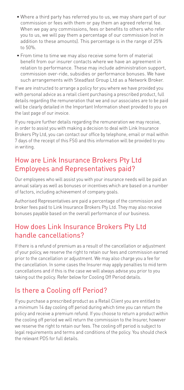- Where a third party has referred you to us, we may share part of our commission or fees with them or pay them an agreed referral fee. When we pay any commissions, fees or benefits to others who refer you to us, we will pay them a percentage of our commission (not in addition to these amounts). This percentage is in the range of 25% to 50%.
- From time to time we may also receive some form of material benefit from our insurer contacts where we have an agreement in relation to performance. These may include administration support, commission over-ride, subsidies or performance bonuses. We have such arrangements with Steadfast Group Ltd as a Network Broker.

If we are instructed to arrange a policy for you where we have provided you with personal advice as a retail client purchasing a prescribed product, full details regarding the remuneration that we and our associates are to be paid will be clearly detailed in the Important Information sheet provided to you on the last page of our invoice.

If you require further details regarding the remuneration we may receive, in order to assist you with making a decision to deal with Link Insurance Brokers Pty Ltd, you can contact our office by telephone, email or mail within 7 days of the receipt of this FSG and this information will be provided to you in writing.

## How are Link Insurance Brokers Pty Ltd Employees and Representatives paid?

Our employees who will assist you with your insurance needs will be paid an annual salary as well as bonuses or incentives which are based on a number of factors, including achievement of company goals.

Authorised Representatives are paid a percentage of the commission and broker fees paid to Link Insurance Brokers Pty Ltd. They may also receive bonuses payable based on the overall performance of our business.

## How does Link Insurance Brokers Pty Ltd handle cancellations?

If there is a refund of premium as a result of the cancellation or adjustment of your policy, we reserve the right to retain our fees and commission earned prior to the cancellation or adjustment. We may also charge you a fee for the cancellation. In some cases the Insurer may apply penalties to mid term cancellations and if this is the case we will always advise you prior to you taking out the policy. Refer below for Cooling Off Period details.

## Is there a Cooling off Period?

If you purchase a prescribed product as a Retail Client you are entitled to a minimum 14 day cooling off period during which time you can return the policy and receive a premium refund. If you choose to return a product within the cooling off period we will return the commission to the Insurer, however we reserve the right to retain our fees. The cooling off period is subject to legal requirements and terms and conditions of the policy. You should check the relevant PDS for full details.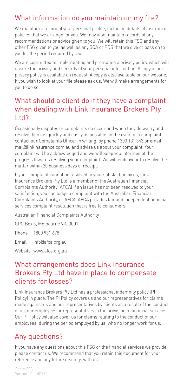## What information do you maintain on my file?

We maintain a record of your personal profile, including details of insurance policies that we arrange for you. We may also maintain records of any recommendations or advice given to you. We will retain this FSG and any other FSG given to you as well as any SOA or PDS that we give or pass on to you for the period required by law.

We are committed to implementing and promoting a privacy policy, which will ensure the privacy and security of your personal information. A copy of our privacy policy is available on request. A copy is also available on our website, If you wish to look at your file please ask us. We will make arrangements for you to do so.

## What should a client do if they have a complaint when dealing with Link Insurance Brokers Pty Ltd?

Occasionally disputes or complaints do occur and when they do we try and resolve them as quickly and easily as possible. In the event of a complaint, contact our Complaints Officer in writing, by phone 1300 131 343 or email mail@linkinsurance.com.au and advise us about your complaint. Your complaint will be acknowledged and we will keep you informed of the progress towards resolving your complaint. We will endeavour to resolve the matter within 20 business days of receipt.

If your complaint cannot be resolved to your satisfaction by us, Link Insurance Brokers Pty Ltd is a member of the Australian Financial Complaints Authority [AFCA) If an issue has not been resolved to your satisfaction, you can lodge a complaint with the Australian Financial Complaints Authority, or AFCA. AFCA provides fair and independent financial services complaint resolution that is free to consumers.

Australian Financial Complaints Authority

GPO Box 3, Melbourne VIC 3001

Phone 1800 931 678

Email info@afca.org.au

Website www.afca.org.au

## What arrangements does Link Insurance Brokers Pty Ltd have in place to compensate clients for losses?

Link Insurance Brokers Pty Ltd has a professional indemnity policy (PI Policy) in place. The PI Policy covers us and our representatives for claims made against us and our representatives by clients as a result of the conduct of us, our employees or representatives in the provision of financial services. Our PI Policy will also cover us for claims relating to the conduct of our employees (during the period employed by us) who no longer work for us.

## Any questions?

If you have any questions about this FSG or the financial services we provide, please contact us. We recommend that you retain this document for your reference and any future dealings with us.

End of FSG Version 17 - 1/07/21